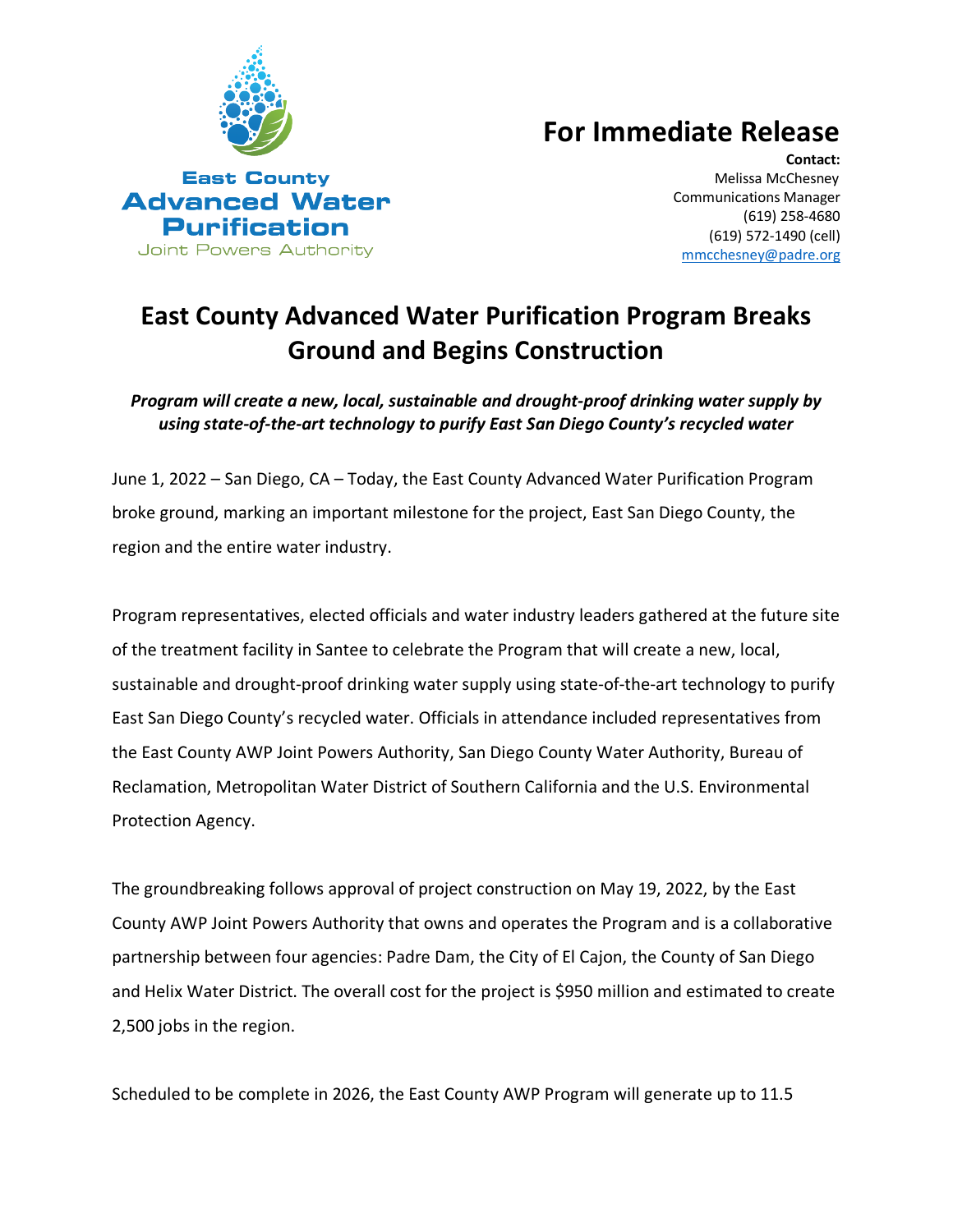

## **For Immediate Release**

**Contact:** Melissa McChesney Communications Manager (619) 258-4680 (619) 572-1490 (cell) [mmcchesney@padre.org](mailto:mmcchesney@padre.org) 

## **East County Advanced Water Purification Program Breaks Ground and Begins Construction**

*Program will create a new, local, sustainable and drought-proof drinking water supply by using state-of-the-art technology to purify East San Diego County's recycled water*

June 1, 2022 – San Diego, CA – Today, the East County Advanced Water Purification Program broke ground, marking an important milestone for the project, East San Diego County, the region and the entire water industry.

Program representatives, elected officials and water industry leaders gathered at the future site of the treatment facility in Santee to celebrate the Program that will create a new, local, sustainable and drought-proof drinking water supply using state-of-the-art technology to purify East San Diego County's recycled water. Officials in attendance included representatives from the East County AWP Joint Powers Authority, San Diego County Water Authority, Bureau of Reclamation, Metropolitan Water District of Southern California and the U.S. Environmental Protection Agency.

The groundbreaking follows approval of project construction on May 19, 2022, by the East County AWP Joint Powers Authority that owns and operates the Program and is a collaborative partnership between four agencies: Padre Dam, the City of El Cajon, the County of San Diego and Helix Water District. The overall cost for the project is \$950 million and estimated to create 2,500 jobs in the region.

Scheduled to be complete in 2026, the East County AWP Program will generate up to 11.5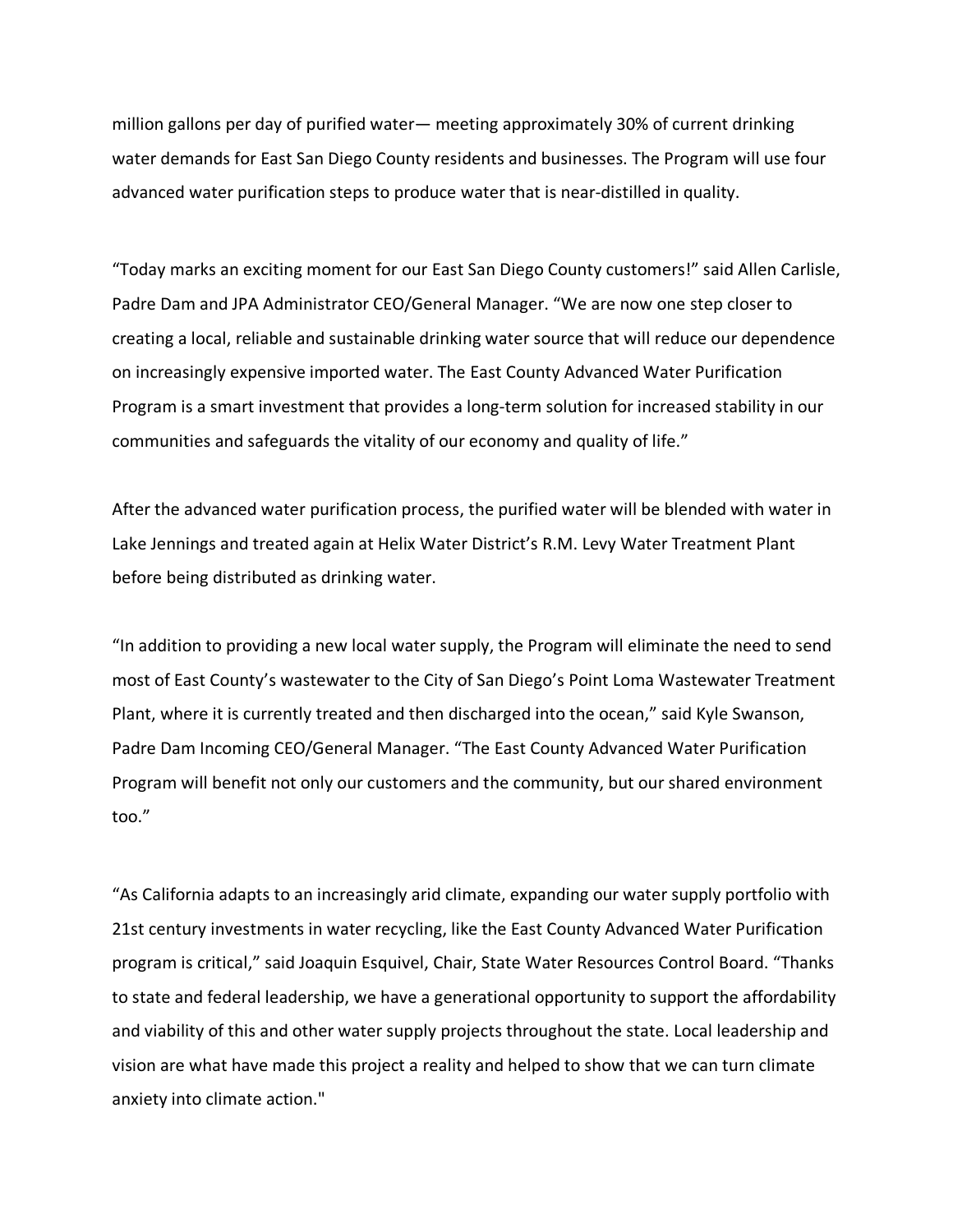million gallons per day of purified water— meeting approximately 30% of current drinking water demands for East San Diego County residents and businesses. The Program will use four advanced water purification steps to produce water that is near-distilled in quality.

"Today marks an exciting moment for our East San Diego County customers!" said Allen Carlisle, Padre Dam and JPA Administrator CEO/General Manager. "We are now one step closer to creating a local, reliable and sustainable drinking water source that will reduce our dependence on increasingly expensive imported water. The East County Advanced Water Purification Program is a smart investment that provides a long-term solution for increased stability in our communities and safeguards the vitality of our economy and quality of life."

After the advanced water purification process, the purified water will be blended with water in Lake Jennings and treated again at Helix Water District's R.M. Levy Water Treatment Plant before being distributed as drinking water.

"In addition to providing a new local water supply, the Program will eliminate the need to send most of East County's wastewater to the City of San Diego's Point Loma Wastewater Treatment Plant, where it is currently treated and then discharged into the ocean," said Kyle Swanson, Padre Dam Incoming CEO/General Manager. "The East County Advanced Water Purification Program will benefit not only our customers and the community, but our shared environment too."

"As California adapts to an increasingly arid climate, expanding our water supply portfolio with 21st century investments in water recycling, like the East County Advanced Water Purification program is critical," said Joaquin Esquivel, Chair, State Water Resources Control Board. "Thanks to state and federal leadership, we have a generational opportunity to support the affordability and viability of this and other water supply projects throughout the state. Local leadership and vision are what have made this project a reality and helped to show that we can turn climate anxiety into climate action."